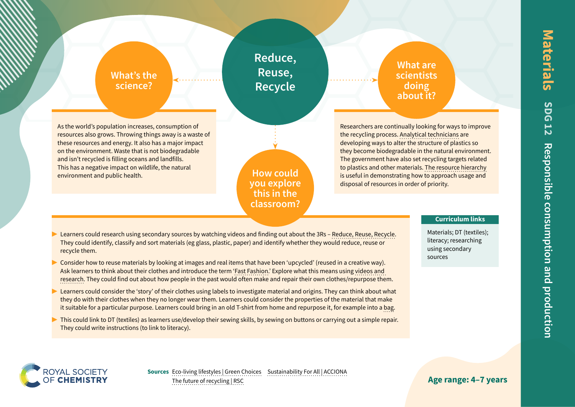## **What's the science?**

**Reduce, Reuse, Recycle**

As the world's population increases, consumption of resources also grows. Throwing things away is a waste of these resources and energy. It also has a major impact on the environment. Waste that is not biodegradable and isn't recycled is filling oceans and landfills. This has a negative impact on wildlife, the natural environment and public health.

# **How could you explore this in the classroom?**

**What are scientists doing about it?**

Researchers are continually looking for ways to improve the recycling process. [Analytical technicians](https://edu.rsc.org/job-profiles/analytical-technician-plastics/4010921.article) are developing ways to alter the structure of plastics so they become biodegradable in the natural environment. The government have also set recycling targets related to plastics and other materials. [The resource hierarchy](https://www.rsc.org/globalassets/22-new-perspectives/sustainability/progressive-plastics/explainers/rsc-explainer-4---the-future-of-recycling.pdf) is useful in demonstrating how to approach usage and disposal of resources in order of priority.

- Learners could research using secondary sources by watching videos and finding out about the 3Rs – [Reduce, Reuse, Recycle](https://www.reducereuserecycle.co.uk/greenarticles/what_does_reduce_reuse_recycle_mean.php). They could identify, classify and sort materials (eg glass, plastic, paper) and identify whether they would reduce, reuse or recycle them.
- Consider how to reuse materials by looking at images and real items that have been 'upcycled' (reused in a creative way). Ask learners to think about their clothes and introduce the term '[Fast Fashion.](https://www.globallearningni.com/resources/video-resources/fast-fashion-ks2)' Explore what this means using [videos and](https://www.bbc.co.uk/newsround/45756754)  [research](https://www.bbc.co.uk/newsround/45756754). They could find out about how people in the past would often make and repair their own clothes/repurpose them.
- Learners could consider the 'story' of their clothes using labels to investigate material and origins. They can think about what they do with their clothes when they no longer wear them. Learners could consider the properties of the material that make it suitable for a particular purpose. Learners could bring in an old T-shirt from home and repurpose it, for example into a [bag](https://www.youtube.com/watch?v=DesGx5lpMWQ).
- $\triangleright$  This could link to DT (textiles) as learners use/develop their sewing skills, by sewing on buttons or carrying out a simple repair. They could write instructions (to link to literacy).

### **Curriculum links**

Materials; DT (textiles); literacy; researching using secondary sources



**Age range: 4–7 years**